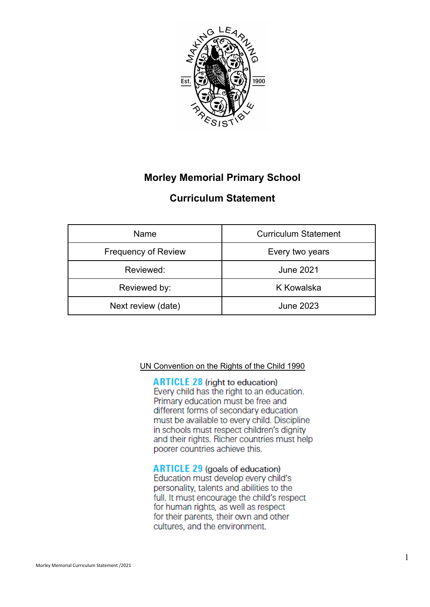

# **Morley Memorial Primary School**

# **Curriculum Statement**

| Name                       | <b>Curriculum Statement</b> |  |  |
|----------------------------|-----------------------------|--|--|
| <b>Frequency of Review</b> | Every two years             |  |  |
| Reviewed:                  | <b>June 2021</b>            |  |  |
| Reviewed by:               | K Kowalska                  |  |  |
| Next review (date)         | <b>June 2023</b>            |  |  |

UN Convention on the Rights of the Child 1990

**ARTICLE 28 (right to education)** Every child has the right to an education. Primary education must be free and different forms of secondary education must be available to every child. Discipline in schools must respect children's dignity and their rights. Richer countries must help poorer countries achieve this.

**ARTICLE 29 (goals of education)** Education must develop every child's personality, talents and abilities to the full. It must encourage the child's respect for human rights, as well as respect for their parents, their own and other cultures, and the environment.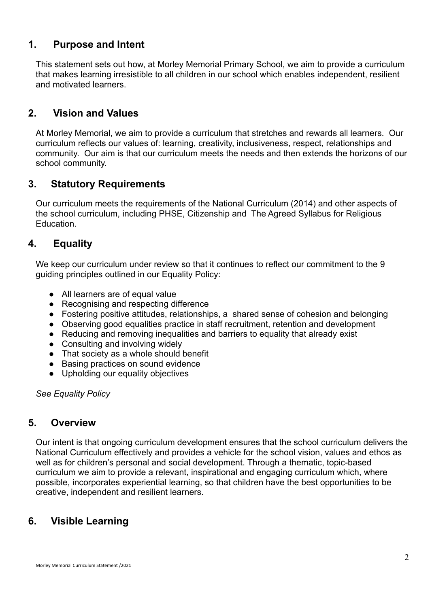# **1. Purpose and Intent**

This statement sets out how, at Morley Memorial Primary School, we aim to provide a curriculum that makes learning irresistible to all children in our school which enables independent, resilient and motivated learners.

# **2. Vision and Values**

At Morley Memorial, we aim to provide a curriculum that stretches and rewards all learners. Our curriculum reflects our values of: learning, creativity, inclusiveness, respect, relationships and community. Our aim is that our curriculum meets the needs and then extends the horizons of our school community.

## **3. Statutory Requirements**

Our curriculum meets the requirements of the National Curriculum (2014) and other aspects of the school curriculum, including PHSE, Citizenship and The Agreed Syllabus for Religious Education.

# **4. Equality**

We keep our curriculum under review so that it continues to reflect our commitment to the 9 guiding principles outlined in our Equality Policy:

- All learners are of equal value
- Recognising and respecting difference
- Fostering positive attitudes, relationships, a shared sense of cohesion and belonging
- Observing good equalities practice in staff recruitment, retention and development
- Reducing and removing inequalities and barriers to equality that already exist
- Consulting and involving widely
- That society as a whole should benefit
- Basing practices on sound evidence
- Upholding our equality objectives

*See Equality Policy*

## **5. Overview**

Our intent is that ongoing curriculum development ensures that the school curriculum delivers the National Curriculum effectively and provides a vehicle for the school vision, values and ethos as well as for children's personal and social development. Through a thematic, topic-based curriculum we aim to provide a relevant, inspirational and engaging curriculum which, where possible, incorporates experiential learning, so that children have the best opportunities to be creative, independent and resilient learners.

# **6. Visible Learning**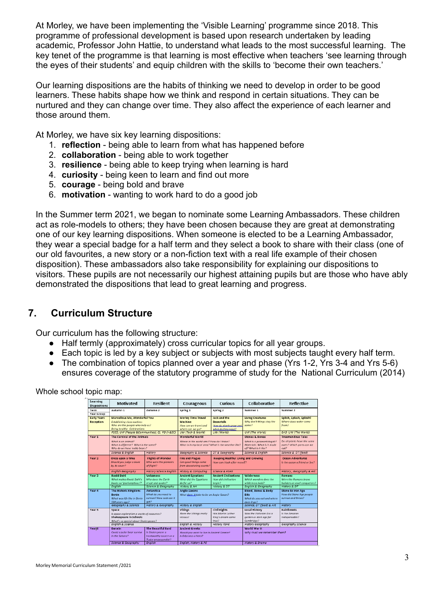At Morley, we have been implementing the 'Visible Learning' programme since 2018. This programme of professional development is based upon research undertaken by leading academic, Professor John Hattie, to understand what leads to the most successful learning. The key tenet of the programme is that learning is most effective when teachers 'see learning through the eyes of their students' and equip children with the skills to 'become their own teachers.'

Our learning dispositions are the habits of thinking we need to develop in order to be good learners. These habits shape how we think and respond in certain situations. They can be nurtured and they can change over time. They also affect the experience of each learner and those around them.

At Morley, we have six key learning dispositions:

- 1. **reflection** being able to learn from what has happened before
- 2. **collaboration** being able to work together
- 3. **resilience** being able to keep trying when learning is hard
- 4. **curiosity** being keen to learn and find out more
- 5. **courage** being bold and brave
- 6. **motivation** wanting to work hard to do a good job

In the Summer term 2021, we began to nominate some Learning Ambassadors. These children act as role-models to others; they have been chosen because they are great at demonstrating one of our key learning dispositions. When someone is elected to be a Learning Ambassador, they wear a special badge for a half term and they select a book to share with their class (one of our old favourites, a new story or a non-fiction text with a real life example of their chosen disposition). These ambassadors also take responsibility for explaining our dispositions to visitors. These pupils are not necessarily our highest attaining pupils but are those who have ably demonstrated the dispositions that lead to great learning and progress.

# **7. Curriculum Structure**

Our curriculum has the following structure:

- Half termly (approximately) cross curricular topics for all year groups.
- Each topic is led by a key subject or subjects with most subjects taught every half term.
- The combination of topics planned over a year and phase (Yrs 1-2, Yrs 3-4 and Yrs 5-6) ensures coverage of the statutory programme of study for the National Curriculum (2014)

Whole school topic map:

| Learning<br><b>Dispositions</b>                                                                                              | Motivated                                                                                                                           | Resilient                                                                         | Courageous                                                                                                        | Curious                                                                          | Collaborative                                                                                                         | <b>Reflective</b>                                                                            |  |
|------------------------------------------------------------------------------------------------------------------------------|-------------------------------------------------------------------------------------------------------------------------------------|-----------------------------------------------------------------------------------|-------------------------------------------------------------------------------------------------------------------|----------------------------------------------------------------------------------|-----------------------------------------------------------------------------------------------------------------------|----------------------------------------------------------------------------------------------|--|
| Term<br><b>Year Group</b>                                                                                                    | Autumn 1                                                                                                                            | Autumn 2                                                                          | Spring 1                                                                                                          | Spring 2                                                                         | Summer 1                                                                                                              | Summer 2                                                                                     |  |
| <b>Early Years</b><br>Reception                                                                                              | Marvellous Me, Wonderful You<br>Establishing class routines<br>Who are the people who help us?<br><b>Being healthy Celebrations</b> |                                                                                   | <b>Morley Time Travel</b><br>Machine<br>How can we travel and<br>where can we go?                                 | lack and the<br><b>Beanstalk</b><br>Haw do plants grow and<br>what do they need? | <b>Living Creatures</b><br>Why don't things stay the<br>same                                                          | Splish, Splash, Splosh!<br>Where does water come<br>from 2                                   |  |
|                                                                                                                              | PSED, UW (People &Communities), CL PD (H&SC)                                                                                        |                                                                                   | UW (Tech & World)                                                                                                 | UW (World)                                                                       | UW (The World)                                                                                                        | EAD UW (The World)                                                                           |  |
| Year 1                                                                                                                       | The Carnival of the Animals<br>What is an animal?<br>What is different? What is the same?<br>Why do we have teddy bears?            |                                                                                   | Wonderful World<br>Where in the world am I? How do I know?<br>What is in my local area? What is the weather like? |                                                                                  | <b>Stones &amp; Bones</b><br>What is a palaeontologist?<br>Materials: What is it made<br>of? What is it like?         | <b>Treemendous Tales</b><br>Do all plants have the same<br>parts? Which parts can we<br>ext2 |  |
|                                                                                                                              | Science & English                                                                                                                   | History                                                                           | Geography & Science                                                                                               | DT & Geography                                                                   | <b>Science &amp; English</b>                                                                                          | Science & DT (food)                                                                          |  |
| Year <sub>2</sub>                                                                                                            | Once upon a time<br>Should you judge a book<br>by its cover?                                                                        | <b>Flights of Wonder</b><br>Who were the pioneers<br>of flight?                   | <b>Fire and Plague</b><br>Can good things come<br>from devastatina events?                                        | <b>Keeping Healthy: Living and Growing</b><br>How can I look after myself?       |                                                                                                                       | <b>Ocean Adventures</b><br>Is the ocean a friend or foe?                                     |  |
|                                                                                                                              | English Geography                                                                                                                   | <b>History Science English</b>                                                    | <b>History &amp; Computing</b>                                                                                    | Science & PSHE                                                                   |                                                                                                                       | History, Geography & Art                                                                     |  |
| Year 3                                                                                                                       | <b>Roald Dahl</b><br>What makes Roald Dahi's<br>books so 'gloriumptious'?<br>English                                                | <b>Volcanoes</b><br>Why does the Earth<br>erupt and quake?<br>Science & Geography | <b>Ancient Egyptians</b><br>What did the Egyptians<br>do for us?<br><b>History &amp; Art</b>                      | <b>Ancient Civilisations</b><br>How did civilisation<br>begin?<br>History & DT   | <b>Wilderness</b><br>Which wonders does the<br>wildemess hold?<br>English & Geography                                 | <b>Romans</b><br>Were the Romans brave.<br>builders or cruel conquerors?<br>History & DT     |  |
| Year 4                                                                                                                       | <b>The Historic Kingdom:</b><br><b>Benin</b><br>What was life like in Benin<br>500 years ago?                                       | Antarctica<br>What do you need to<br>survive? How cold can it<br>aet?             | Anglo-Saxons<br>What does it take to be an Anglo-Saxon?                                                           |                                                                                  | <b>Blood, Bones &amp; Body</b><br><b>Bits</b><br>What do you eat and where<br>does it ao?<br>Science, DT (food) & Art | <b>Stone to Iron Age</b><br>How did Stone Age people<br>survive and thrive?                  |  |
|                                                                                                                              | Geography & Science                                                                                                                 | History & Geography                                                               | <b>History &amp; English</b>                                                                                      |                                                                                  |                                                                                                                       | History                                                                                      |  |
| Year 5                                                                                                                       | Space<br>Is space exploration a waste of resources?<br>Shakespeare in Schools<br>What's so special about Shakespeare?               |                                                                                   | <b>Vikings</b><br>Were the Vikings really<br>vicious?                                                             | <b>Civil Rights</b><br>Has Martin Luther<br>Kina's dream come<br>true?           | <b>Local History</b><br>Was the Victorian Era a<br>golden or dark age for<br>Cambridge?                               | <b>Rainforests</b><br>Is the Amazon<br>indispensable?                                        |  |
|                                                                                                                              | English & Science                                                                                                                   |                                                                                   | English & History                                                                                                 | <b>History PSHE</b>                                                              | History Geography<br>Geography Science                                                                                |                                                                                              |  |
| <b>The Beautiful Bard</b><br>Year <sup>6</sup><br>Darwin<br>Could a polar bear survive<br>Is Shakespeare a<br>in the Sahara? |                                                                                                                                     | trustworthy source or a<br>Tudor propagandist?                                    | <b>Ancient Greeks</b><br>Would you want to live in Ancient Greece?<br>Is Odysseus a hero?                         |                                                                                  | World War II<br>Why must we remember them?                                                                            |                                                                                              |  |
| Science & Geography<br>English                                                                                               |                                                                                                                                     |                                                                                   | English, History & PE                                                                                             |                                                                                  | <b>History &amp; Drama</b>                                                                                            |                                                                                              |  |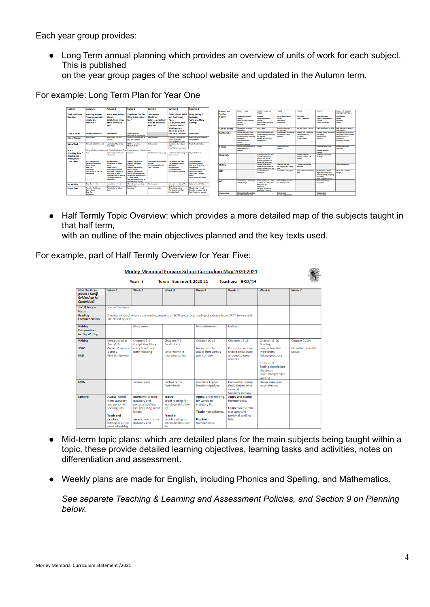Each year group provides:

● Long Term annual planning which provides an overview of units of work for each subject. This is published

on the year group pages of the school website and updated in the Autumn term.

| <b>Subjects</b>                           | Autumn 1                                                                                                                         | Autumn 2                                                                                    | Spring 1                                                  | Spring 2                                        | Summer 1                                                              | Summer <sub>2</sub>                                |                                   |                                                                               |                                                                             |                                                                                |                                                  |  |
|-------------------------------------------|----------------------------------------------------------------------------------------------------------------------------------|---------------------------------------------------------------------------------------------|-----------------------------------------------------------|-------------------------------------------------|-----------------------------------------------------------------------|----------------------------------------------------|-----------------------------------|-------------------------------------------------------------------------------|-----------------------------------------------------------------------------|--------------------------------------------------------------------------------|--------------------------------------------------|--|
|                                           |                                                                                                                                  |                                                                                             |                                                           |                                                 |                                                                       |                                                    | <b>Phonics and</b>                | Phase 3+ 4 recan                                                              | Phase 3+ 4 recap and<br><b>Phone 5</b>                                      | Phone S                                                                        | Phase S                                          |  |
| <b>Topic and Topic</b><br><b>Question</b> | <b>Amazing Animals</b><br>'How are animals                                                                                       | Local Area Study -<br>Morley                                                                | <b>Toys From The Past</b><br>What is the oldest           | <b>Marvellous</b><br><b>Marhines</b>            | <b>Trees, Plants, Food</b><br>and Traditional                         | <b>Mary Anning /</b><br><b>Materials</b>           | <b>Spelling</b><br><b>English</b> | <b>Stories with Familian</b>                                                  | Abbahet                                                                     | <b>Stories about Fantasy</b>                                                   | Non-Sition                                       |  |
|                                           | similar and                                                                                                                      | What do we know                                                                             | tov?                                                      | What is a machine?                              | <b>Tales</b>                                                          | 'Who was Mary                                      |                                   | Settings<br>Labels, lists and captions                                        | <b>Straigs with Earnifer</b><br>Settings                                    | Weekly<br>Instructions                                                         | <b>Doenna</b> - machines                         |  |
|                                           | different?'                                                                                                                      | about where we                                                                              |                                                           | <b>How do machines</b>                          | Do all plants have                                                    | Anning?'                                           |                                   | Received                                                                      | Poems - using the sense                                                     | Information                                                                    |                                                  |  |
|                                           |                                                                                                                                  | live?                                                                                       |                                                           | help us?                                        | the same parts?                                                       |                                                    |                                   | <b>Alphabet</b>                                                               | <b>Instructions</b>                                                         |                                                                                |                                                  |  |
|                                           |                                                                                                                                  |                                                                                             |                                                           |                                                 | Which parts of<br>plants do we eat?                                   |                                                    | <b>Talk for Writing</b>           | <b>Throughout</b> especially<br>Out Babies                                    | <b>Instructions</b>                                                         | Role also characters in<br>Traction man                                        | Markine Poetry - Revital                         |  |
| <b>Trips &amp; Visits</b>                 | <b>Sherreth Wildlife Park</b>                                                                                                    | Local area walk                                                                             | Local Church visit<br>Poss, Visit to Toy Museum           |                                                 | <b>Boos</b> Visit to Food outlet                                      | <b>Fossik Galore</b>                               | <b>Mathematics</b>                | Number and place value.<br>Addition and subtraction.                          | Addition and subtraction<br>Problem solving, reasonic                       | Multiplication and division<br><b>Properties of shape</b><br><b>Statistics</b> | Addition and subdiscribes<br>Fractions ratio and |  |
| 'Wow' Starter                             | <b>Animal sottos</b>                                                                                                             | Bear Hunt in the play<br><b>Provinci</b>                                                    | Discovery of an old box of<br>toys in a cupboard          | <b>Misute makes</b>                             | Exploring / drawing and<br>sorting vegetables<br>Make gingerbread men | Sedeewick museum fossil<br>hey and letter          |                                   | Problem solving, reasoning<br>and algebra.<br>Multiplication and<br>distance. | and algebra<br><b>Doubles and disarting</b><br>Measurement                  |                                                                                | proportion<br>Problem solving                    |  |
| 'Wow' Fod                                 | Sheareth Wildlife Park trin                                                                                                      | Local walk of Cambridge<br>using mans.                                                      | <b>Children run a Toy</b><br>Massacre in hall             | Make a robot                                    | Conclusion of great pod<br>race.                                      | Trip to FossiTs Galore                             | <b>Science</b>                    | Properties of shape<br><b>Animals including Humans</b>                        | <b>Senses</b>                                                               | Ongoing seasons /                                                              |                                                  |  |
| G&T                                       |                                                                                                                                  | Personalised according to need; Maths Challenges; Topic/Literacy pieces of writing/research |                                                           |                                                 | <b>Pross</b> Visit to Freed realist                                   |                                                    |                                   | Ongoing seasons /<br><b><i><u>SHAMPING</u></i></b>                            |                                                                             | spend have                                                                     |                                                  |  |
| Role Play Area /                          | Mr Maker Corner / Garage<br><b>Traditional Tales cottage</b><br>Die site/ Museum<br>Bear Hunt / Local tourist<br>Toy shop<br>Zoo |                                                                                             |                                                           |                                                 |                                                                       |                                                    |                                   |                                                                               |                                                                             |                                                                                |                                                  |  |
| <b>Reading and</b>                        |                                                                                                                                  | information                                                                                 |                                                           |                                                 | Garden centre                                                         |                                                    | Geography                         |                                                                               | School, grounds and local<br>area study fieldwork -                         |                                                                                | Weather natterns.<br>seasonal changes, UK        |  |
| <b>Writing Area</b>                       |                                                                                                                                  |                                                                                             |                                                           |                                                 |                                                                       |                                                    |                                   |                                                                               | physical and human                                                          |                                                                                | weather                                          |  |
| <b>Class Texts</b>                        | It's a George thing!<br><b>Perry the Park Keener</b>                                                                             | Alphabet books.<br>We're Going on a Bear                                                    | <b>Traction Man is Here!</b><br><b>Traction Man meets</b> | Non Fiction Texts Wheeled<br>vehicles.          | The Gingerbread Man.<br>The Runaway Chanatti                          | <b>Traditional Tales</b><br>Newspaper articles.    |                                   |                                                                               | features, peographical<br>vocabulary, map work.                             |                                                                                |                                                  |  |
|                                           | <b>Funny Bones</b><br>Dear Zen                                                                                                   | Hunt.<br>Senses Poetry.                                                                     | Turbodoe.<br>Traction Man and the                         | Machine poetry E.g. My<br><b>CRAZY Machine.</b> | Goldingky<br><b>Firm Mar Coal</b>                                     | <b>First News Children's</b><br>Newspapers.        | <b>History</b>                    |                                                                               | Looking at Nistory of<br>Medez - Who is Samuel<br>Morley? Morley Time line. | Toys from the cast<br>including the first Teddy'<br><b>Business</b>            | Looking at some older<br>markings                |  |
|                                           | Onl Rahies<br>Look for Ma in This ABC                                                                                            | Instructions including:<br>How to get a soft toy to                                         | Beach Odyssey.<br>Traction Man and the                    |                                                 | Landscane neetry<br>including WW-Daffords                             | <b>Pretend letter from the</b><br>Sedawick Museum. | DRT                               |                                                                               | <b>Make a Christmas</b>                                                     | Make a felt hand puppet                                                        | Make a Bahot to include a                        |  |
|                                           | <b>Dictionaries</b>                                                                                                              | sleep. How to draw a                                                                        | Missing Scrubbing Brush!                                  |                                                 |                                                                       | New Eighten Weterlan                               |                                   |                                                                               | Decoration                                                                  |                                                                                | <b>Secure</b>                                    |  |
|                                           |                                                                                                                                  | Snowman, How to make a<br>salt dough Christmas                                              | Instructions on how make<br>a Thaumatroce.                |                                                 |                                                                       | <b>Mark</b><br>What's in the Boy Board             |                                   |                                                                               |                                                                             |                                                                                |                                                  |  |
|                                           |                                                                                                                                  | <b>Decreation</b>                                                                           | Information about toys in<br>the past (Dolls House).      |                                                 |                                                                       |                                                    | Art                               | 3D sculptures - playdough                                                     | About the work of a range                                                   | Toys - Collage, drawing                                                        |                                                  |  |
| <b>Big Writing</b>                        | Dear Zen recurite                                                                                                                | <b>Instructions - How to</b><br>draw a snowman                                              | Alternative story ending.<br><b>Traction Man</b>          | Machine poem                                    | Alternative version of The<br>Gingerbread Man.                        | Letter to Fessils Gallore                          |                                   | and salt dough                                                                | of artists, describing the<br>differences and<br>similarities               | and painting work.                                                             |                                                  |  |
| <b>Visual Text</b>                        | Percy the Park Keeper<br><b>Funny Bares</b>                                                                                      | We're Going on a Bear<br>Haant                                                              | Toy story                                                 | Weather freerasts                               | <b>Oliver's Vegetables.</b><br>The Gingerbread Man.                   | Mary Anning - People<br>from the past story clip & |                                   |                                                                               | Van gogh and Monet<br>landscapes - painting.                                |                                                                                |                                                  |  |
|                                           | Dear Zoo<br><b>Ond Rahies</b>                                                                                                    |                                                                                             |                                                           |                                                 | Finn Mac Cool.                                                        | Fact Files on the lastcos.                         | Computing                         | <b>Understanding Technology</b><br>School technology walk                     |                                                                             | Programming<br>Bee-bot programming                                             |                                                  |  |

For example: Long Term Plan for Year One

● Half Termly Topic Overview: which provides a more detailed map of the subjects taught in that half term,

with an outline of the main objectives planned and the key texts used.

For example, part of Half Termly Overview for Year Five:

| Morley Memorial Primary School Curriculum Map 2020-2021<br>Year: 5<br>Term: Summer 1 2020-21<br><b>Teachers: HRD/TH</b> |                                                                                                                                               |                                                                                                                                              |                                                                                                                                    |                                                                                                                  |                                                                                                       |                                                                                                                                                                           |                                                 |  |  |  |
|-------------------------------------------------------------------------------------------------------------------------|-----------------------------------------------------------------------------------------------------------------------------------------------|----------------------------------------------------------------------------------------------------------------------------------------------|------------------------------------------------------------------------------------------------------------------------------------|------------------------------------------------------------------------------------------------------------------|-------------------------------------------------------------------------------------------------------|---------------------------------------------------------------------------------------------------------------------------------------------------------------------------|-------------------------------------------------|--|--|--|
| <b>Was the Victor</b><br>period a Darkk<br><b>Golden Age for</b><br>Cambridge?                                          | Week <sub>1</sub>                                                                                                                             | Week 2                                                                                                                                       | Week 3                                                                                                                             | Week 4                                                                                                           | Week 5                                                                                                | Week 6                                                                                                                                                                    | Week 7                                          |  |  |  |
| <b>Text/Literacy</b><br><b>Focus</b>                                                                                    | Son of the Circus                                                                                                                             |                                                                                                                                              |                                                                                                                                    |                                                                                                                  |                                                                                                       |                                                                                                                                                                           |                                                 |  |  |  |
| <b>Reading</b><br>Comprehension                                                                                         | <b>The Bluest of Blues</b>                                                                                                                    |                                                                                                                                              |                                                                                                                                    | A combination of whole class reading sessions on SOTC and group reading of extracts from DK Victorians and       |                                                                                                       |                                                                                                                                                                           |                                                 |  |  |  |
| Writing<br>Composition<br><b>Inc Big Writing</b>                                                                        |                                                                                                                                               | Diary entry                                                                                                                                  |                                                                                                                                    | <b>Persuasion text</b>                                                                                           | Hailers                                                                                               |                                                                                                                                                                           |                                                 |  |  |  |
| <b>Writing</b><br><b>SOTC</b><br><b>HRD</b>                                                                             | Introduction to<br>Son of the<br>Circus: Chapters<br>$1$ and $2$ .<br>Role on the wall.                                                       | Chapters 3-6<br><b>Completing Diary</b><br>entry in role and<br>story mapping                                                                | Chapters 7-9<br><b>Predictions</b><br>Letter home in<br>character as Ted                                                           | Chapter 10-13<br>Narrative - the<br>attack from Alma's<br>point of view                                          | Chapters 14-15<br>Persuasive writing -<br>should circuses be<br>allowed to keep<br>animals?           | Chapter 16-20<br>Reading<br>comprehension<br><b>Predictions</b><br>Asking questions<br>Chapter 21<br>Setting description -<br>the circus<br>Haiku on tightrope<br>walking | Chapter 21-24<br>Narrative - possible<br>sequel |  |  |  |
| <b>SPAG</b>                                                                                                             |                                                                                                                                               | Tenses recap                                                                                                                                 | <b>Perfect forms</b><br><b>Parenthesis</b>                                                                                         | <b>Standard English</b><br><b>Double negatives</b>                                                               | Punctuation recap<br>(including relative<br>clauses)<br><b>Cohesive devices</b>                       | Recap expanded<br>noun phrases                                                                                                                                            |                                                 |  |  |  |
| Spelling                                                                                                                | <b>Assess: words</b><br>from statutory<br>and personal<br>spelling lists.<br>Teach and<br>practise:<br>strategies at the<br>point of writing. | Learn: words from<br>statutory and<br>personal spelling<br>lists (including silent<br>letters)<br><b>Assess:</b> words from<br>statutory and | Teach:<br>proof-reading for<br>words on statutory<br>list.<br><b>Practise:</b><br>proof-reading for<br>words on statutory<br>list. | Apply: proof-reading<br>for words on<br>statutory list.<br>Teach: homoohones.<br><b>Practise:</b><br>homophones. | Apply and assess:<br>homophones.<br>Learn: words from<br>statutory and<br>personal spelling<br>lists. |                                                                                                                                                                           |                                                 |  |  |  |

- Mid-term topic plans: which are detailed plans for the main subjects being taught within a topic, these provide detailed learning objectives, learning tasks and activities, notes on differentiation and assessment.
- Weekly plans are made for English, including Phonics and Spelling, and Mathematics.

*See separate Teaching & Learning and Assessment Policies, and Section 9 on Planning below.*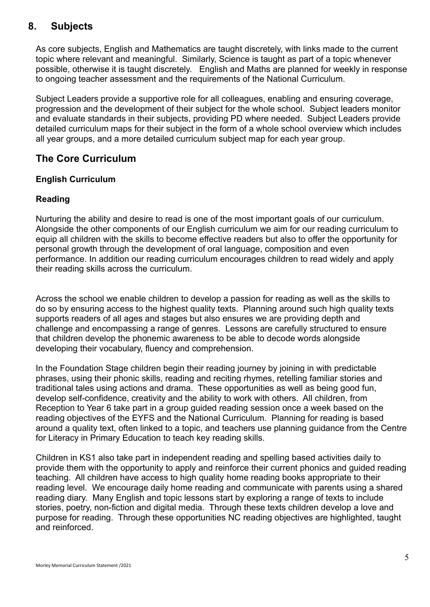# **8. Subjects**

As core subjects, English and Mathematics are taught discretely, with links made to the current topic where relevant and meaningful. Similarly, Science is taught as part of a topic whenever possible, otherwise it is taught discretely. English and Maths are planned for weekly in response to ongoing teacher assessment and the requirements of the National Curriculum.

Subject Leaders provide a supportive role for all colleagues, enabling and ensuring coverage, progression and the development of their subject for the whole school. Subject leaders monitor and evaluate standards in their subjects, providing PD where needed. Subject Leaders provide detailed curriculum maps for their subject in the form of a whole school overview which includes all year groups, and a more detailed curriculum subject map for each year group.

# **The Core Curriculum**

## **English Curriculum**

## **Reading**

Nurturing the ability and desire to read is one of the most important goals of our curriculum. Alongside the other components of our English curriculum we aim for our reading curriculum to equip all children with the skills to become effective readers but also to offer the opportunity for personal growth through the development of oral language, composition and even performance. In addition our reading curriculum encourages children to read widely and apply their reading skills across the curriculum.

Across the school we enable children to develop a passion for reading as well as the skills to do so by ensuring access to the highest quality texts. Planning around such high quality texts supports readers of all ages and stages but also ensures we are providing depth and challenge and encompassing a range of genres. Lessons are carefully structured to ensure that children develop the phonemic awareness to be able to decode words alongside developing their vocabulary, fluency and comprehension.

In the Foundation Stage children begin their reading journey by joining in with predictable phrases, using their phonic skills, reading and reciting rhymes, retelling familiar stories and traditional tales using actions and drama. These opportunities as well as being good fun, develop self-confidence, creativity and the ability to work with others. All children, from Reception to Year 6 take part in a group guided reading session once a week based on the reading objectives of the EYFS and the National Curriculum. Planning for reading is based around a quality text, often linked to a topic, and teachers use planning guidance from the Centre for Literacy in Primary Education to teach key reading skills.

Children in KS1 also take part in independent reading and spelling based activities daily to provide them with the opportunity to apply and reinforce their current phonics and guided reading teaching. All children have access to high quality home reading books appropriate to their reading level. We encourage daily home reading and communicate with parents using a shared reading diary. Many English and topic lessons start by exploring a range of texts to include stories, poetry, non-fiction and digital media. Through these texts children develop a love and purpose for reading. Through these opportunities NC reading objectives are highlighted, taught and reinforced.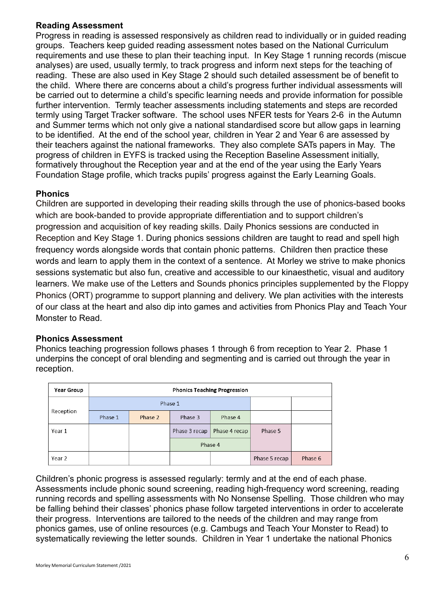#### **Reading Assessment**

Progress in reading is assessed responsively as children read to individually or in guided reading groups. Teachers keep guided reading assessment notes based on the National Curriculum requirements and use these to plan their teaching input. In Key Stage 1 running records (miscue analyses) are used, usually termly, to track progress and inform next steps for the teaching of reading. These are also used in Key Stage 2 should such detailed assessment be of benefit to the child. Where there are concerns about a child's progress further individual assessments will be carried out to determine a child's specific learning needs and provide information for possible further intervention. Termly teacher assessments including statements and steps are recorded termly using Target Tracker software. The school uses NFER tests for Years 2-6 in the Autumn and Summer terms which not only give a national standardised score but allow gaps in learning to be identified. At the end of the school year, children in Year 2 and Year 6 are assessed by their teachers against the national frameworks. They also complete SATs papers in May. The progress of children in EYFS is tracked using the Reception Baseline Assessment initially, formatively throughout the Reception year and at the end of the year using the Early Years Foundation Stage profile, which tracks pupils' progress against the Early Learning Goals.

## **Phonics**

Children are supported in developing their reading skills through the use of phonics-based books which are book-banded to provide appropriate differentiation and to support children's progression and acquisition of key reading skills. Daily Phonics sessions are conducted in Reception and Key Stage 1. During phonics sessions children are taught to read and spell high frequency words alongside words that contain phonic patterns. Children then practice these words and learn to apply them in the context of a sentence. At Morley we strive to make phonics sessions systematic but also fun, creative and accessible to our kinaesthetic, visual and auditory learners. We make use of the Letters and Sounds phonics principles supplemented by the Floppy Phonics (ORT) programme to support planning and delivery. We plan activities with the interests of our class at the heart and also dip into games and activities from Phonics Play and Teach Your Monster to Read.

## **Phonics Assessment**

Phonics teaching progression follows phases 1 through 6 from reception to Year 2. Phase 1 underpins the concept of oral blending and segmenting and is carried out through the year in reception.

| Year Group |         |         |                                |         |               |         |
|------------|---------|---------|--------------------------------|---------|---------------|---------|
|            |         | Phase 1 |                                |         |               |         |
| Reception  | Phase 1 | Phase 2 | Phase 3                        | Phase 4 |               |         |
| Year 1     |         |         | Phase 4 recap<br>Phase 3 recap |         | Phase 5       |         |
|            |         |         |                                | Phase 4 |               |         |
| Year 2     |         |         |                                |         | Phase 5 recap | Phase 6 |

Children's phonic progress is assessed regularly: termly and at the end of each phase. Assessments include phonic sound screening, reading high-frequency word screening, reading running records and spelling assessments with No Nonsense Spelling. Those children who may be falling behind their classes' phonics phase follow targeted interventions in order to accelerate their progress. Interventions are tailored to the needs of the children and may range from phonics games, use of online resources (e.g. Cambugs and Teach Your Monster to Read) to systematically reviewing the letter sounds. Children in Year 1 undertake the national Phonics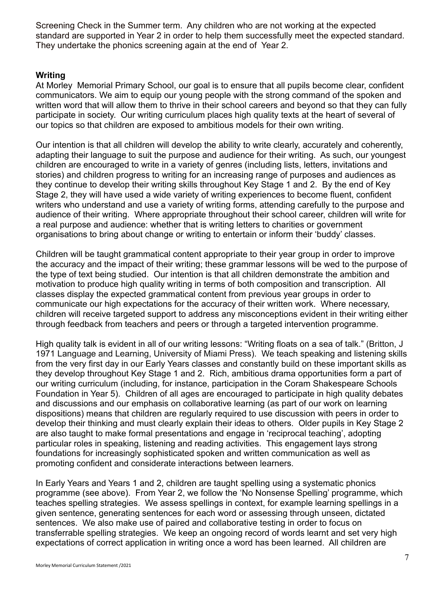Screening Check in the Summer term. Any children who are not working at the expected standard are supported in Year 2 in order to help them successfully meet the expected standard. They undertake the phonics screening again at the end of Year 2.

## **Writing**

At Morley Memorial Primary School, our goal is to ensure that all pupils become clear, confident communicators. We aim to equip our young people with the strong command of the spoken and written word that will allow them to thrive in their school careers and beyond so that they can fully participate in society. Our writing curriculum places high quality texts at the heart of several of our topics so that children are exposed to ambitious models for their own writing.

Our intention is that all children will develop the ability to write clearly, accurately and coherently, adapting their language to suit the purpose and audience for their writing. As such, our youngest children are encouraged to write in a variety of genres (including lists, letters, invitations and stories) and children progress to writing for an increasing range of purposes and audiences as they continue to develop their writing skills throughout Key Stage 1 and 2. By the end of Key Stage 2, they will have used a wide variety of writing experiences to become fluent, confident writers who understand and use a variety of writing forms, attending carefully to the purpose and audience of their writing. Where appropriate throughout their school career, children will write for a real purpose and audience: whether that is writing letters to charities or government organisations to bring about change or writing to entertain or inform their 'buddy' classes.

Children will be taught grammatical content appropriate to their year group in order to improve the accuracy and the impact of their writing; these grammar lessons will be wed to the purpose of the type of text being studied. Our intention is that all children demonstrate the ambition and motivation to produce high quality writing in terms of both composition and transcription. All classes display the expected grammatical content from previous year groups in order to communicate our high expectations for the accuracy of their written work. Where necessary, children will receive targeted support to address any misconceptions evident in their writing either through feedback from teachers and peers or through a targeted intervention programme.

High quality talk is evident in all of our writing lessons: "Writing floats on a sea of talk." (Britton, J 1971 Language and Learning, University of Miami Press). We teach speaking and listening skills from the very first day in our Early Years classes and constantly build on these important skills as they develop throughout Key Stage 1 and 2. Rich, ambitious drama opportunities form a part of our writing curriculum (including, for instance, participation in the Coram Shakespeare Schools Foundation in Year 5). Children of all ages are encouraged to participate in high quality debates and discussions and our emphasis on collaborative learning (as part of our work on learning dispositions) means that children are regularly required to use discussion with peers in order to develop their thinking and must clearly explain their ideas to others. Older pupils in Key Stage 2 are also taught to make formal presentations and engage in 'reciprocal teaching', adopting particular roles in speaking, listening and reading activities. This engagement lays strong foundations for increasingly sophisticated spoken and written communication as well as promoting confident and considerate interactions between learners.

In Early Years and Years 1 and 2, children are taught spelling using a systematic phonics programme (see above). From Year 2, we follow the 'No Nonsense Spelling' programme, which teaches spelling strategies. We assess spellings in context, for example learning spellings in a given sentence, generating sentences for each word or assessing through unseen, dictated sentences. We also make use of paired and collaborative testing in order to focus on transferrable spelling strategies. We keep an ongoing record of words learnt and set very high expectations of correct application in writing once a word has been learned. All children are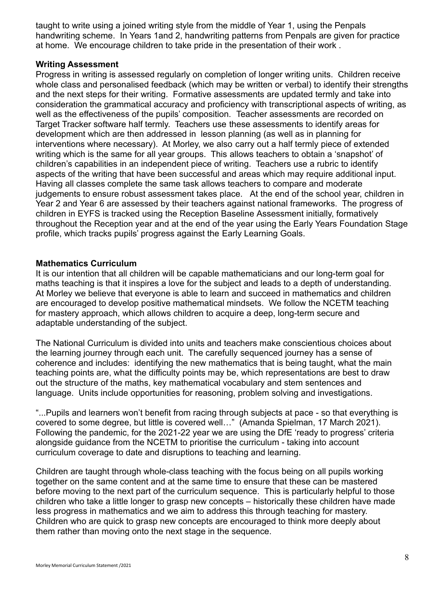taught to write using a joined writing style from the middle of Year 1, using the Penpals handwriting scheme. In Years 1and 2, handwriting patterns from Penpals are given for practice at home. We encourage children to take pride in the presentation of their work .

#### **Writing Assessment**

Progress in writing is assessed regularly on completion of longer writing units. Children receive whole class and personalised feedback (which may be written or verbal) to identify their strengths and the next steps for their writing. Formative assessments are updated termly and take into consideration the grammatical accuracy and proficiency with transcriptional aspects of writing, as well as the effectiveness of the pupils' composition. Teacher assessments are recorded on Target Tracker software half termly. Teachers use these assessments to identify areas for development which are then addressed in lesson planning (as well as in planning for interventions where necessary). At Morley, we also carry out a half termly piece of extended writing which is the same for all year groups. This allows teachers to obtain a 'snapshot' of children's capabilities in an independent piece of writing. Teachers use a rubric to identify aspects of the writing that have been successful and areas which may require additional input. Having all classes complete the same task allows teachers to compare and moderate judgements to ensure robust assessment takes place. At the end of the school year, children in Year 2 and Year 6 are assessed by their teachers against national frameworks. The progress of children in EYFS is tracked using the Reception Baseline Assessment initially, formatively throughout the Reception year and at the end of the year using the Early Years Foundation Stage profile, which tracks pupils' progress against the Early Learning Goals.

#### **Mathematics Curriculum**

It is our intention that all children will be capable mathematicians and our long-term goal for maths teaching is that it inspires a love for the subject and leads to a depth of understanding. At Morley we believe that everyone is able to learn and succeed in mathematics and children are encouraged to develop positive mathematical mindsets. We follow the NCETM teaching for mastery approach, which allows children to acquire a deep, long-term secure and adaptable understanding of the subject.

The National Curriculum is divided into units and teachers make conscientious choices about the learning journey through each unit. The carefully sequenced journey has a sense of coherence and includes: identifying the new mathematics that is being taught, what the main teaching points are, what the difficulty points may be, which representations are best to draw out the structure of the maths, key mathematical vocabulary and stem sentences and language. Units include opportunities for reasoning, problem solving and investigations.

"...Pupils and learners won't benefit from racing through subjects at pace - so that everything is covered to some degree, but little is covered well…" (Amanda Spielman, 17 March 2021). Following the pandemic, for the 2021-22 year we are using the DfE 'ready to progress' criteria alongside guidance from the NCETM to prioritise the curriculum - taking into account curriculum coverage to date and disruptions to teaching and learning.

Children are taught through whole-class teaching with the focus being on all pupils working together on the same content and at the same time to ensure that these can be mastered before moving to the next part of the curriculum sequence. This is particularly helpful to those children who take a little longer to grasp new concepts – historically these children have made less progress in mathematics and we aim to address this through teaching for mastery. Children who are quick to grasp new concepts are encouraged to think more deeply about them rather than moving onto the next stage in the sequence.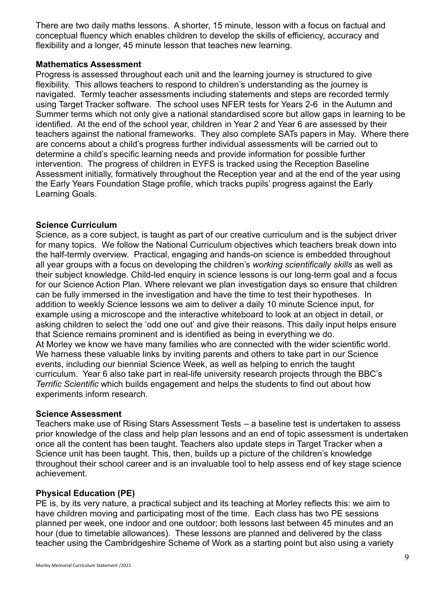There are two daily maths lessons. A shorter, 15 minute, lesson with a focus on factual and conceptual fluency which enables children to develop the skills of efficiency, accuracy and flexibility and a longer, 45 minute lesson that teaches new learning.

#### **Mathematics Assessment**

Progress is assessed throughout each unit and the learning journey is structured to give flexibility. This allows teachers to respond to children's understanding as the journey is navigated. Termly teacher assessments including statements and steps are recorded termly using Target Tracker software. The school uses NFER tests for Years 2-6 in the Autumn and Summer terms which not only give a national standardised score but allow gaps in learning to be identified. At the end of the school year, children in Year 2 and Year 6 are assessed by their teachers against the national frameworks. They also complete SATs papers in May. Where there are concerns about a child's progress further individual assessments will be carried out to determine a child's specific learning needs and provide information for possible further intervention. The progress of children in EYFS is tracked using the Reception Baseline Assessment initially, formatively throughout the Reception year and at the end of the year using the Early Years Foundation Stage profile, which tracks pupils' progress against the Early Learning Goals.

#### **Science Curriculum**

Science, as a core subject, is taught as part of our creative curriculum and is the subject driver for many topics. We follow the National Curriculum objectives which teachers break down into the half-termly overview. Practical, engaging and hands-on science is embedded throughout all year groups with a focus on developing the children's *working scientifically skills* as well as their subject knowledge. Child-led enquiry in science lessons is our long-term goal and a focus for our Science Action Plan. Where relevant we plan investigation days so ensure that children can be fully immersed in the investigation and have the time to test their hypotheses. In addition to weekly Science lessons we aim to deliver a daily 10 minute Science input, for example using a microscope and the interactive whiteboard to look at an object in detail, or asking children to select the 'odd one out' and give their reasons. This daily input helps ensure that Science remains prominent and is identified as being in everything we do. At Morley we know we have many families who are connected with the wider scientific world. We harness these valuable links by inviting parents and others to take part in our Science events, including our biennial Science Week, as well as helping to enrich the taught curriculum. Year 6 also take part in real-life university research projects through the BBC's *Terrific Scientific* which builds engagement and helps the students to find out about how experiments inform research.

#### **Science Assessment**

Teachers make use of Rising Stars Assessment Tests – a baseline test is undertaken to assess prior knowledge of the class and help plan lessons and an end of topic assessment is undertaken once all the content has been taught. Teachers also update steps in Target Tracker when a Science unit has been taught. This, then, builds up a picture of the children's knowledge throughout their school career and is an invaluable tool to help assess end of key stage science achievement.

#### **Physical Education (PE)**

PE is, by its very nature, a practical subject and its teaching at Morley reflects this: we aim to have children moving and participating most of the time. Each class has two PE sessions planned per week, one indoor and one outdoor; both lessons last between 45 minutes and an hour (due to timetable allowances). These lessons are planned and delivered by the class teacher using the Cambridgeshire Scheme of Work as a starting point but also using a variety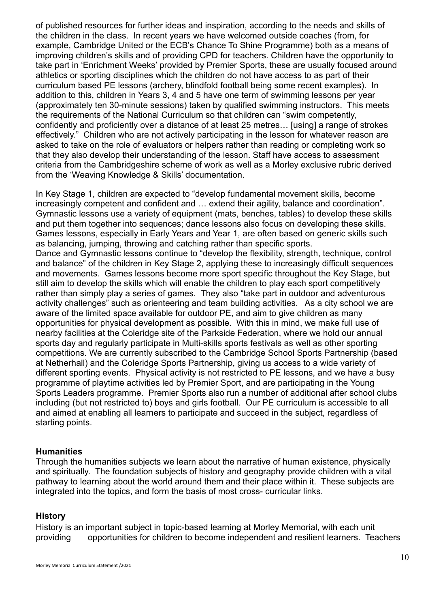of published resources for further ideas and inspiration, according to the needs and skills of the children in the class. In recent years we have welcomed outside coaches (from, for example, Cambridge United or the ECB's Chance To Shine Programme) both as a means of improving children's skills and of providing CPD for teachers. Children have the opportunity to take part in 'Enrichment Weeks' provided by Premier Sports, these are usually focused around athletics or sporting disciplines which the children do not have access to as part of their curriculum based PE lessons (archery, blindfold football being some recent examples). In addition to this, children in Years 3, 4 and 5 have one term of swimming lessons per year (approximately ten 30-minute sessions) taken by qualified swimming instructors. This meets the requirements of the National Curriculum so that children can "swim competently, confidently and proficiently over a distance of at least 25 metres… [using] a range of strokes effectively." Children who are not actively participating in the lesson for whatever reason are asked to take on the role of evaluators or helpers rather than reading or completing work so that they also develop their understanding of the lesson. Staff have access to assessment criteria from the Cambridgeshire scheme of work as well as a Morley exclusive rubric derived from the 'Weaving Knowledge & Skills' documentation.

In Key Stage 1, children are expected to "develop fundamental movement skills, become increasingly competent and confident and … extend their agility, balance and coordination". Gymnastic lessons use a variety of equipment (mats, benches, tables) to develop these skills and put them together into sequences; dance lessons also focus on developing these skills. Games lessons, especially in Early Years and Year 1, are often based on generic skills such as balancing, jumping, throwing and catching rather than specific sports. Dance and Gymnastic lessons continue to "develop the flexibility, strength, technique, control and balance" of the children in Key Stage 2, applying these to increasingly difficult sequences and movements. Games lessons become more sport specific throughout the Key Stage, but still aim to develop the skills which will enable the children to play each sport competitively rather than simply play a series of games. They also "take part in outdoor and adventurous activity challenges" such as orienteering and team building activities. As a city school we are aware of the limited space available for outdoor PE, and aim to give children as many opportunities for physical development as possible. With this in mind, we make full use of nearby facilities at the Coleridge site of the Parkside Federation, where we hold our annual sports day and regularly participate in Multi-skills sports festivals as well as other sporting competitions. We are currently subscribed to the Cambridge School Sports Partnership (based at Netherhall) and the Coleridge Sports Partnership, giving us access to a wide variety of different sporting events. Physical activity is not restricted to PE lessons, and we have a busy programme of playtime activities led by Premier Sport, and are participating in the Young Sports Leaders programme. Premier Sports also run a number of additional after school clubs including (but not restricted to) boys and girls football. Our PE curriculum is accessible to all and aimed at enabling all learners to participate and succeed in the subject, regardless of starting points.

#### **Humanities**

Through the humanities subjects we learn about the narrative of human existence, physically and spiritually. The foundation subjects of history and geography provide children with a vital pathway to learning about the world around them and their place within it. These subjects are integrated into the topics, and form the basis of most cross- curricular links.

#### **History**

History is an important subject in topic-based learning at Morley Memorial, with each unit providing opportunities for children to become independent and resilient learners. Teachers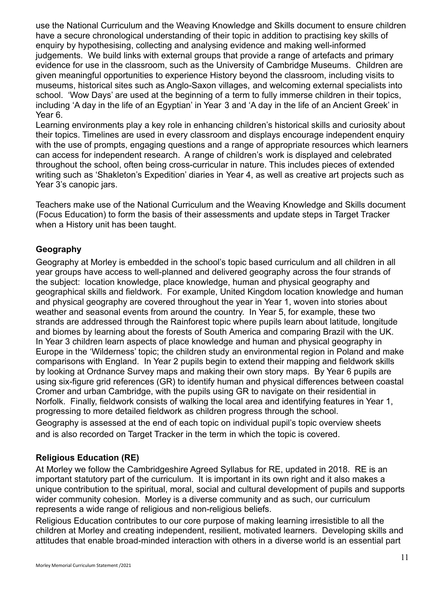use the National Curriculum and the Weaving Knowledge and Skills document to ensure children have a secure chronological understanding of their topic in addition to practising key skills of enquiry by hypothesising, collecting and analysing evidence and making well-informed judgements. We build links with external groups that provide a range of artefacts and primary evidence for use in the classroom, such as the University of Cambridge Museums. Children are given meaningful opportunities to experience History beyond the classroom, including visits to museums, historical sites such as Anglo-Saxon villages, and welcoming external specialists into school. 'Wow Days' are used at the beginning of a term to fully immerse children in their topics, including 'A day in the life of an Egyptian' in Year 3 and 'A day in the life of an Ancient Greek' in Year 6.

Learning environments play a key role in enhancing children's historical skills and curiosity about their topics. Timelines are used in every classroom and displays encourage independent enquiry with the use of prompts, engaging questions and a range of appropriate resources which learners can access for independent research. A range of children's work is displayed and celebrated throughout the school, often being cross-curricular in nature. This includes pieces of extended writing such as 'Shakleton's Expedition' diaries in Year 4, as well as creative art projects such as Year 3's canopic jars.

Teachers make use of the National Curriculum and the Weaving Knowledge and Skills document (Focus Education) to form the basis of their assessments and update steps in Target Tracker when a History unit has been taught.

## **Geography**

Geography at Morley is embedded in the school's topic based curriculum and all children in all year groups have access to well-planned and delivered geography across the four strands of the subject: location knowledge, place knowledge, human and physical geography and geographical skills and fieldwork. For example, United Kingdom location knowledge and human and physical geography are covered throughout the year in Year 1, woven into stories about weather and seasonal events from around the country. In Year 5, for example, these two strands are addressed through the Rainforest topic where pupils learn about latitude, longitude and biomes by learning about the forests of South America and comparing Brazil with the UK. In Year 3 children learn aspects of place knowledge and human and physical geography in Europe in the 'Wilderness' topic; the children study an environmental region in Poland and make comparisons with England. In Year 2 pupils begin to extend their mapping and fieldwork skills by looking at Ordnance Survey maps and making their own story maps. By Year 6 pupils are using six-figure grid references (GR) to identify human and physical differences between coastal Cromer and urban Cambridge, with the pupils using GR to navigate on their residential in Norfolk. Finally, fieldwork consists of walking the local area and identifying features in Year 1, progressing to more detailed fieldwork as children progress through the school. Geography is assessed at the end of each topic on individual pupil's topic overview sheets

and is also recorded on Target Tracker in the term in which the topic is covered.

## **Religious Education (RE)**

At Morley we follow the Cambridgeshire Agreed Syllabus for RE, updated in 2018. RE is an important statutory part of the curriculum. It is important in its own right and it also makes a unique contribution to the spiritual, moral, social and cultural development of pupils and supports wider community cohesion. Morley is a diverse community and as such, our curriculum represents a wide range of religious and non-religious beliefs.

Religious Education contributes to our core purpose of making learning irresistible to all the children at Morley and creating independent, resilient, motivated learners. Developing skills and attitudes that enable broad-minded interaction with others in a diverse world is an essential part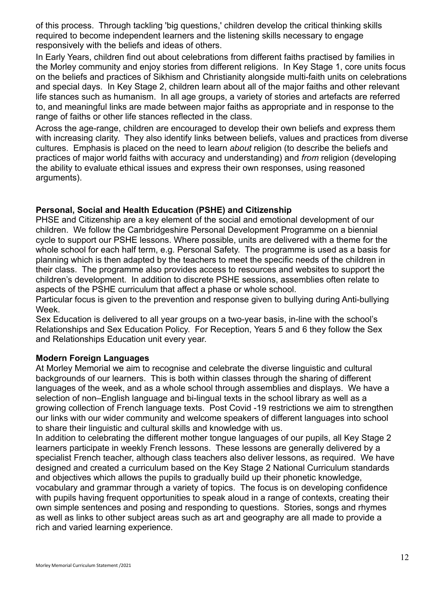of this process. Through tackling 'big questions,' children develop the critical thinking skills required to become independent learners and the listening skills necessary to engage responsively with the beliefs and ideas of others.

In Early Years, children find out about celebrations from different faiths practised by families in the Morley community and enjoy stories from different religions. In Key Stage 1, core units focus on the beliefs and practices of Sikhism and Christianity alongside multi-faith units on celebrations and special days. In Key Stage 2, children learn about all of the major faiths and other relevant life stances such as humanism. In all age groups, a variety of stories and artefacts are referred to, and meaningful links are made between major faiths as appropriate and in response to the range of faiths or other life stances reflected in the class.

Across the age-range, children are encouraged to develop their own beliefs and express them with increasing clarity. They also identify links between beliefs, values and practices from diverse cultures. Emphasis is placed on the need to learn *about* religion (to describe the beliefs and practices of major world faiths with accuracy and understanding) and *from* religion (developing the ability to evaluate ethical issues and express their own responses, using reasoned arguments).

## **Personal, Social and Health Education (PSHE) and Citizenship**

PHSE and Citizenship are a key element of the social and emotional development of our children. We follow the Cambridgeshire Personal Development Programme on a biennial cycle to support our PSHE lessons. Where possible, units are delivered with a theme for the whole school for each half term, e.g. Personal Safety. The programme is used as a basis for planning which is then adapted by the teachers to meet the specific needs of the children in their class. The programme also provides access to resources and websites to support the children's development. In addition to discrete PSHE sessions, assemblies often relate to aspects of the PSHE curriculum that affect a phase or whole school.

Particular focus is given to the prevention and response given to bullying during Anti-bullying Week.

Sex Education is delivered to all year groups on a two-year basis, in-line with the school's Relationships and Sex Education Policy. For Reception, Years 5 and 6 they follow the Sex and Relationships Education unit every year.

#### **Modern Foreign Languages**

At Morley Memorial we aim to recognise and celebrate the diverse linguistic and cultural backgrounds of our learners. This is both within classes through the sharing of different languages of the week, and as a whole school through assemblies and displays. We have a selection of non–English language and bi-lingual texts in the school library as well as a growing collection of French language texts. Post Covid -19 restrictions we aim to strengthen our links with our wider community and welcome speakers of different languages into school to share their linguistic and cultural skills and knowledge with us.

In addition to celebrating the different mother tongue languages of our pupils, all Key Stage 2 learners participate in weekly French lessons. These lessons are generally delivered by a specialist French teacher, although class teachers also deliver lessons, as required. We have designed and created a curriculum based on the Key Stage 2 National Curriculum standards and objectives which allows the pupils to gradually build up their phonetic knowledge, vocabulary and grammar through a variety of topics. The focus is on developing confidence with pupils having frequent opportunities to speak aloud in a range of contexts, creating their own simple sentences and posing and responding to questions. Stories, songs and rhymes as well as links to other subject areas such as art and geography are all made to provide a rich and varied learning experience.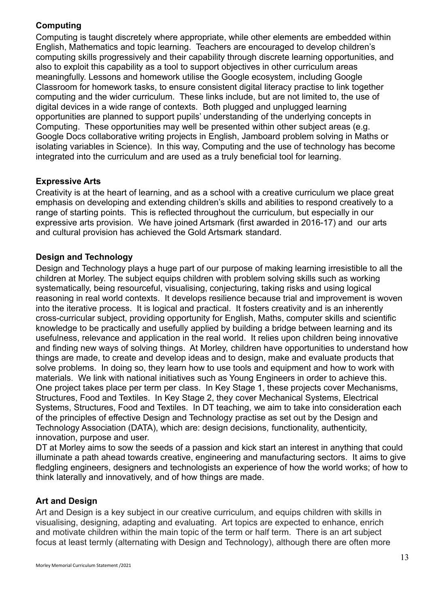## **Computing**

Computing is taught discretely where appropriate, while other elements are embedded within English, Mathematics and topic learning. Teachers are encouraged to develop children's computing skills progressively and their capability through discrete learning opportunities, and also to exploit this capability as a tool to support objectives in other curriculum areas meaningfully. Lessons and homework utilise the Google ecosystem, including Google Classroom for homework tasks, to ensure consistent digital literacy practise to link together computing and the wider curriculum. These links include, but are not limited to, the use of digital devices in a wide range of contexts. Both plugged and unplugged learning opportunities are planned to support pupils' understanding of the underlying concepts in Computing. These opportunities may well be presented within other subject areas (e.g. Google Docs collaborative writing projects in English, Jamboard problem solving in Maths or isolating variables in Science). In this way, Computing and the use of technology has become integrated into the curriculum and are used as a truly beneficial tool for learning.

## **Expressive Arts**

Creativity is at the heart of learning, and as a school with a creative curriculum we place great emphasis on developing and extending children's skills and abilities to respond creatively to a range of starting points. This is reflected throughout the curriculum, but especially in our expressive arts provision. We have joined Artsmark (first awarded in 2016-17) and our arts and cultural provision has achieved the Gold Artsmark standard.

## **Design and Technology**

Design and Technology plays a huge part of our purpose of making learning irresistible to all the children at Morley. The subject equips children with problem solving skills such as working systematically, being resourceful, visualising, conjecturing, taking risks and using logical reasoning in real world contexts. It develops resilience because trial and improvement is woven into the iterative process. It is logical and practical. It fosters creativity and is an inherently cross-curricular subject, providing opportunity for English, Maths, computer skills and scientific knowledge to be practically and usefully applied by building a bridge between learning and its usefulness, relevance and application in the real world. It relies upon children being innovative and finding new ways of solving things. At Morley, children have opportunities to understand how things are made, to create and develop ideas and to design, make and evaluate products that solve problems. In doing so, they learn how to use tools and equipment and how to work with materials. We link with national initiatives such as Young Engineers in order to achieve this. One project takes place per term per class. In Key Stage 1, these projects cover Mechanisms, Structures, Food and Textiles. In Key Stage 2, they cover Mechanical Systems, Electrical Systems, Structures, Food and Textiles. In DT teaching, we aim to take into consideration each of the principles of effective Design and Technology practise as set out by the Design and Technology Association (DATA), which are: design decisions, functionality, authenticity, innovation, purpose and user.

DT at Morley aims to sow the seeds of a passion and kick start an interest in anything that could illuminate a path ahead towards creative, engineering and manufacturing sectors. It aims to give fledgling engineers, designers and technologists an experience of how the world works; of how to think laterally and innovatively, and of how things are made.

## **Art and Design**

Art and Design is a key subject in our creative curriculum, and equips children with skills in visualising, designing, adapting and evaluating. Art topics are expected to enhance, enrich and motivate children within the main topic of the term or half term. There is an art subject focus at least termly (alternating with Design and Technology), although there are often more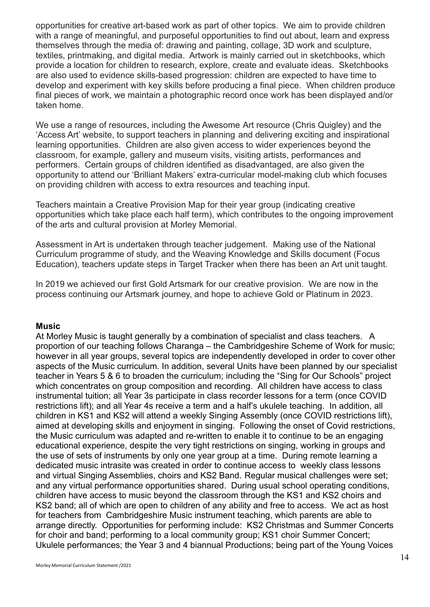opportunities for creative art-based work as part of other topics. We aim to provide children with a range of meaningful, and purposeful opportunities to find out about, learn and express themselves through the media of: drawing and painting, collage, 3D work and sculpture, textiles, printmaking, and digital media. Artwork is mainly carried out in sketchbooks, which provide a location for children to research, explore, create and evaluate ideas. Sketchbooks are also used to evidence skills-based progression: children are expected to have time to develop and experiment with key skills before producing a final piece. When children produce final pieces of work, we maintain a photographic record once work has been displayed and/or taken home.

We use a range of resources, including the Awesome Art resource (Chris Quigley) and the 'Access Art' website, to support teachers in planning and delivering exciting and inspirational learning opportunities. Children are also given access to wider experiences beyond the classroom, for example, gallery and museum visits, visiting artists, performances and performers. Certain groups of children identified as disadvantaged, are also given the opportunity to attend our 'Brilliant Makers' extra-curricular model-making club which focuses on providing children with access to extra resources and teaching input.

Teachers maintain a Creative Provision Map for their year group (indicating creative opportunities which take place each half term), which contributes to the ongoing improvement of the arts and cultural provision at Morley Memorial.

Assessment in Art is undertaken through teacher judgement. Making use of the National Curriculum programme of study, and the Weaving Knowledge and Skills document (Focus Education), teachers update steps in Target Tracker when there has been an Art unit taught.

In 2019 we achieved our first Gold Artsmark for our creative provision. We are now in the process continuing our Artsmark journey, and hope to achieve Gold or Platinum in 2023.

#### **Music**

At Morley Music is taught generally by a combination of specialist and class teachers. A proportion of our teaching follows Charanga – the Cambridgeshire Scheme of Work for music; however in all year groups, several topics are independently developed in order to cover other aspects of the Music curriculum. In addition, several Units have been planned by our specialist teacher in Years 5 & 6 to broaden the curriculum; including the "Sing for Our Schools" project which concentrates on group composition and recording. All children have access to class instrumental tuition; all Year 3s participate in class recorder lessons for a term (once COVID restrictions lift); and all Year 4s receive a term and a half's ukulele teaching. In addition, all children in KS1 and KS2 will attend a weekly Singing Assembly (once COVID restrictions lift), aimed at developing skills and enjoyment in singing. Following the onset of Covid restrictions, the Music curriculum was adapted and re-written to enable it to continue to be an engaging educational experience, despite the very tight restrictions on singing, working in groups and the use of sets of instruments by only one year group at a time. During remote learning a dedicated music intrasite was created in order to continue access to weekly class lessons and virtual Singing Assemblies, choirs and KS2 Band. Regular musical challenges were set; and any virtual performance opportunities shared. During usual school operating conditions, children have access to music beyond the classroom through the KS1 and KS2 choirs and KS2 band; all of which are open to children of any ability and free to access. We act as host for teachers from Cambridgeshire Music instrument teaching, which parents are able to arrange directly. Opportunities for performing include: KS2 Christmas and Summer Concerts for choir and band; performing to a local community group; KS1 choir Summer Concert; Ukulele performances; the Year 3 and 4 biannual Productions; being part of the Young Voices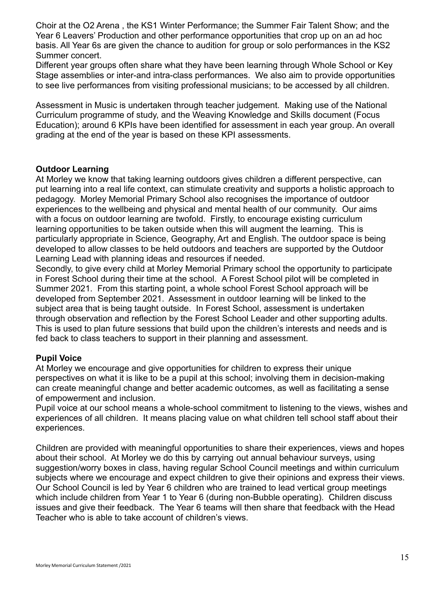Choir at the O2 Arena , the KS1 Winter Performance; the Summer Fair Talent Show; and the Year 6 Leavers' Production and other performance opportunities that crop up on an ad hoc basis. All Year 6s are given the chance to audition for group or solo performances in the KS2 Summer concert.

Different year groups often share what they have been learning through Whole School or Key Stage assemblies or inter-and intra-class performances. We also aim to provide opportunities to see live performances from visiting professional musicians; to be accessed by all children.

Assessment in Music is undertaken through teacher judgement. Making use of the National Curriculum programme of study, and the Weaving Knowledge and Skills document (Focus Education); around 6 KPIs have been identified for assessment in each year group. An overall grading at the end of the year is based on these KPI assessments.

#### **Outdoor Learning**

At Morley we know that taking learning outdoors gives children a different perspective, can put learning into a real life context, can stimulate creativity and supports a holistic approach to pedagogy. Morley Memorial Primary School also recognises the importance of outdoor experiences to the wellbeing and physical and mental health of our community. Our aims with a focus on outdoor learning are twofold. Firstly, to encourage existing curriculum learning opportunities to be taken outside when this will augment the learning. This is particularly appropriate in Science, Geography, Art and English. The outdoor space is being developed to allow classes to be held outdoors and teachers are supported by the Outdoor Learning Lead with planning ideas and resources if needed.

Secondly, to give every child at Morley Memorial Primary school the opportunity to participate in Forest School during their time at the school. A Forest School pilot will be completed in Summer 2021. From this starting point, a whole school Forest School approach will be developed from September 2021. Assessment in outdoor learning will be linked to the subject area that is being taught outside. In Forest School, assessment is undertaken through observation and reflection by the Forest School Leader and other supporting adults. This is used to plan future sessions that build upon the children's interests and needs and is fed back to class teachers to support in their planning and assessment.

#### **Pupil Voice**

At Morley we encourage and give opportunities for children to express their unique perspectives on what it is like to be a pupil at this school; involving them in decision-making can create meaningful change and better academic outcomes, as well as facilitating a sense of empowerment and inclusion.

Pupil voice at our school means a whole-school commitment to listening to the views, wishes and experiences of all children. It means placing value on what children tell school staff about their experiences.

Children are provided with meaningful opportunities to share their experiences, views and hopes about their school. At Morley we do this by carrying out annual behaviour surveys, using suggestion/worry boxes in class, having regular School Council meetings and within curriculum subjects where we encourage and expect children to give their opinions and express their views. Our School Council is led by Year 6 children who are trained to lead vertical group meetings which include children from Year 1 to Year 6 (during non-Bubble operating). Children discuss issues and give their feedback. The Year 6 teams will then share that feedback with the Head Teacher who is able to take account of children's views.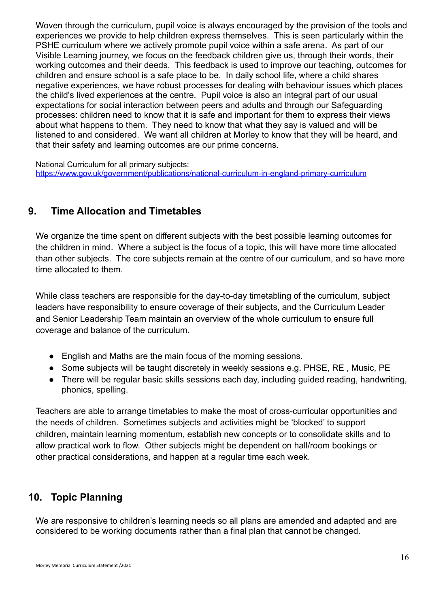Woven through the curriculum, pupil voice is always encouraged by the provision of the tools and experiences we provide to help children express themselves. This is seen particularly within the PSHE curriculum where we actively promote pupil voice within a safe arena. As part of our Visible Learning journey, we focus on the feedback children give us, through their words, their working outcomes and their deeds. This feedback is used to improve our teaching, outcomes for children and ensure school is a safe place to be. In daily school life, where a child shares negative experiences, we have robust processes for dealing with behaviour issues which places the child's lived experiences at the centre. Pupil voice is also an integral part of our usual expectations for social interaction between peers and adults and through our Safeguarding processes: children need to know that it is safe and important for them to express their views about what happens to them. They need to know that what they say is valued and will be listened to and considered. We want all children at Morley to know that they will be heard, and that their safety and learning outcomes are our prime concerns.

National Curriculum for all primary subjects: <https://www.gov.uk/government/publications/national-curriculum-in-england-primary-curriculum>

# **9. Time Allocation and Timetables**

We organize the time spent on different subjects with the best possible learning outcomes for the children in mind. Where a subject is the focus of a topic, this will have more time allocated than other subjects. The core subjects remain at the centre of our curriculum, and so have more time allocated to them.

While class teachers are responsible for the day-to-day timetabling of the curriculum, subject leaders have responsibility to ensure coverage of their subjects, and the Curriculum Leader and Senior Leadership Team maintain an overview of the whole curriculum to ensure full coverage and balance of the curriculum.

- English and Maths are the main focus of the morning sessions.
- Some subiects will be taught discretely in weekly sessions e.g. PHSE, RE, Music, PE
- There will be regular basic skills sessions each day, including guided reading, handwriting, phonics, spelling.

Teachers are able to arrange timetables to make the most of cross-curricular opportunities and the needs of children. Sometimes subjects and activities might be 'blocked' to support children, maintain learning momentum, establish new concepts or to consolidate skills and to allow practical work to flow. Other subjects might be dependent on hall/room bookings or other practical considerations, and happen at a regular time each week.

# **10. Topic Planning**

We are responsive to children's learning needs so all plans are amended and adapted and are considered to be working documents rather than a final plan that cannot be changed.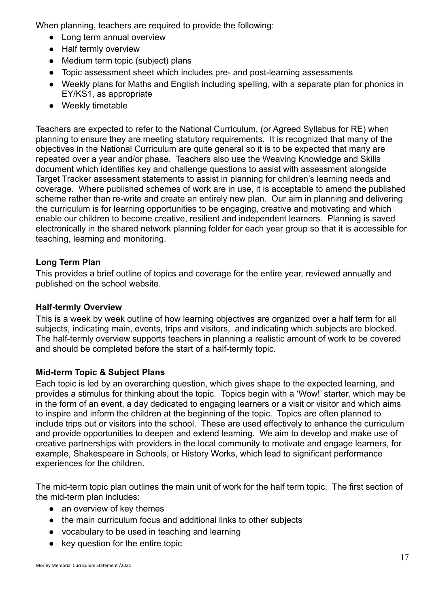When planning, teachers are required to provide the following:

- Long term annual overview
- Half termly overview
- Medium term topic (subject) plans
- Topic assessment sheet which includes pre- and post-learning assessments
- Weekly plans for Maths and English including spelling, with a separate plan for phonics in EY/KS1, as appropriate
- Weekly timetable

Teachers are expected to refer to the National Curriculum, (or Agreed Syllabus for RE) when planning to ensure they are meeting statutory requirements. It is recognized that many of the objectives in the National Curriculum are quite general so it is to be expected that many are repeated over a year and/or phase. Teachers also use the Weaving Knowledge and Skills document which identifies key and challenge questions to assist with assessment alongside Target Tracker assessment statements to assist in planning for children's learning needs and coverage. Where published schemes of work are in use, it is acceptable to amend the published scheme rather than re-write and create an entirely new plan. Our aim in planning and delivering the curriculum is for learning opportunities to be engaging, creative and motivating and which enable our children to become creative, resilient and independent learners. Planning is saved electronically in the shared network planning folder for each year group so that it is accessible for teaching, learning and monitoring.

## **Long Term Plan**

This provides a brief outline of topics and coverage for the entire year, reviewed annually and published on the school website.

## **Half-termly Overview**

This is a week by week outline of how learning objectives are organized over a half term for all subjects, indicating main, events, trips and visitors, and indicating which subjects are blocked. The half-termly overview supports teachers in planning a realistic amount of work to be covered and should be completed before the start of a half-termly topic.

## **Mid-term Topic & Subject Plans**

Each topic is led by an overarching question, which gives shape to the expected learning, and provides a stimulus for thinking about the topic. Topics begin with a 'Wow!' starter, which may be in the form of an event, a day dedicated to engaging learners or a visit or visitor and which aims to inspire and inform the children at the beginning of the topic. Topics are often planned to include trips out or visitors into the school. These are used effectively to enhance the curriculum and provide opportunities to deepen and extend learning. We aim to develop and make use of creative partnerships with providers in the local community to motivate and engage learners, for example, Shakespeare in Schools, or History Works, which lead to significant performance experiences for the children.

The mid-term topic plan outlines the main unit of work for the half term topic. The first section of the mid-term plan includes:

- an overview of key themes
- the main curriculum focus and additional links to other subjects
- vocabulary to be used in teaching and learning
- key question for the entire topic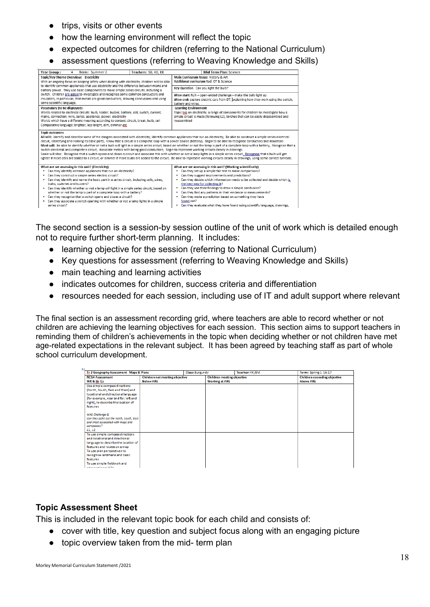- trips, visits or other events
- how the learning environment will reflect the topic
- expected outcomes for children (referring to the National Curriculum)
- assessment questions (referring to Weaving Knowledge and Skills)

| <b>Year Group:</b><br>Term: Summer 2<br>4                                                                                                                                                                                                                                                                                                                                                                                                                                                                                                                                                                                                                                                                                                                                                                                                                                                                                                                                                                                                                                                                                     | Teachers: SB, KB, KK | Mid Term Plan: Science                                                                                                    |  |  |  |  |  |  |
|-------------------------------------------------------------------------------------------------------------------------------------------------------------------------------------------------------------------------------------------------------------------------------------------------------------------------------------------------------------------------------------------------------------------------------------------------------------------------------------------------------------------------------------------------------------------------------------------------------------------------------------------------------------------------------------------------------------------------------------------------------------------------------------------------------------------------------------------------------------------------------------------------------------------------------------------------------------------------------------------------------------------------------------------------------------------------------------------------------------------------------|----------------------|---------------------------------------------------------------------------------------------------------------------------|--|--|--|--|--|--|
| Topic/Kev Theme Overview: Electricity                                                                                                                                                                                                                                                                                                                                                                                                                                                                                                                                                                                                                                                                                                                                                                                                                                                                                                                                                                                                                                                                                         |                      | Main Curriculum focus: History & Art                                                                                      |  |  |  |  |  |  |
| With an ongoing focus on keeping safety when dealing with electricity, children will be able                                                                                                                                                                                                                                                                                                                                                                                                                                                                                                                                                                                                                                                                                                                                                                                                                                                                                                                                                                                                                                  |                      | Additional curriculum foci: DT & Science                                                                                  |  |  |  |  |  |  |
| to identify common appliances that use electricity and the difference between mains and<br>battery power. They use basic components to make simple series circuits, including a                                                                                                                                                                                                                                                                                                                                                                                                                                                                                                                                                                                                                                                                                                                                                                                                                                                                                                                                               |                      | Key Question Can you light the bulb?                                                                                      |  |  |  |  |  |  |
| switch. Children are asked to investigate and recognise some common conductors and                                                                                                                                                                                                                                                                                                                                                                                                                                                                                                                                                                                                                                                                                                                                                                                                                                                                                                                                                                                                                                            |                      | Wow start: N/A - open-ended challenge - make the bulb light up                                                            |  |  |  |  |  |  |
| insulators, in particular, that metals are good conductors, drawing conclusions and using<br>some scientific language.                                                                                                                                                                                                                                                                                                                                                                                                                                                                                                                                                                                                                                                                                                                                                                                                                                                                                                                                                                                                        |                      | Wow end: explore electric cars from DT, explaining how they work using the switch,<br>battery and wires.                  |  |  |  |  |  |  |
| Vocabulary (to be displayed):                                                                                                                                                                                                                                                                                                                                                                                                                                                                                                                                                                                                                                                                                                                                                                                                                                                                                                                                                                                                                                                                                                 |                      | <b>Learning Environment</b>                                                                                               |  |  |  |  |  |  |
| Words related to electrical circuits: bulb. holder, buzzer, battery, cell, switch, current,                                                                                                                                                                                                                                                                                                                                                                                                                                                                                                                                                                                                                                                                                                                                                                                                                                                                                                                                                                                                                                   |                      | Topic bks on electricity, a range of components for children to investigate how a                                         |  |  |  |  |  |  |
| mains, connection, wire, series, appliance, power, electricity<br>Words which have a different meaning according to context: circuit, break, bulb, cell                                                                                                                                                                                                                                                                                                                                                                                                                                                                                                                                                                                                                                                                                                                                                                                                                                                                                                                                                                       |                      | simple circuit is made (following L2), torches that can be easily disassembled and<br>reassembled                         |  |  |  |  |  |  |
| Comparative language: brighter, less bright, dim, dimmer etc.                                                                                                                                                                                                                                                                                                                                                                                                                                                                                                                                                                                                                                                                                                                                                                                                                                                                                                                                                                                                                                                                 |                      |                                                                                                                           |  |  |  |  |  |  |
|                                                                                                                                                                                                                                                                                                                                                                                                                                                                                                                                                                                                                                                                                                                                                                                                                                                                                                                                                                                                                                                                                                                               |                      |                                                                                                                           |  |  |  |  |  |  |
| <b>Topic outcomes</b><br>All will: identify and describe some of the dangers associated with electricity: Identify common appliances that run on electricity: Be able to construct a simple series electrical<br>circuit, identifying and naming its basic parts; Know that a circuit is a complete loop with a power source (battery); Begin to be able to recognise conductors and insulators<br>Most will: be able to identify whether or not a bulb will light in a simple series circuit, based on whether or not the lamp is part of a complete loop with a battery; Recognise that a<br>switch can break and complete a circuit; Associate metals with being good conductors; Begin to represent working circuits clearly in drawings.<br>Some will also: Recognise that a switch opens and closes a circuit and associate this with whether or not a lamp lights in a simple series circuit: Recognise that a bulb will get<br>lighter if more cells are added to a circuit, or dimmer if more bulbs are added to the circuit; Be able to represent working circuits clearly in drawings, using some correct symbols. |                      |                                                                                                                           |  |  |  |  |  |  |
| What are we assessing in this unit? (Electricity)<br>Can they identify common appliances that run on electricity?                                                                                                                                                                                                                                                                                                                                                                                                                                                                                                                                                                                                                                                                                                                                                                                                                                                                                                                                                                                                             |                      | What are we assessing in this unit? (Working scientifically)<br>Can they set up a simple fair test to make comparisons?   |  |  |  |  |  |  |
| Can they construct a simple series electric circuit?                                                                                                                                                                                                                                                                                                                                                                                                                                                                                                                                                                                                                                                                                                                                                                                                                                                                                                                                                                                                                                                                          |                      | Can they suggest improvements and predictions?                                                                            |  |  |  |  |  |  |
| Can they identify and name the basic part in a series circuit, including cells, wires,<br>٠                                                                                                                                                                                                                                                                                                                                                                                                                                                                                                                                                                                                                                                                                                                                                                                                                                                                                                                                                                                                                                   |                      | Can they decide which information needs to be collected and decide which is                                               |  |  |  |  |  |  |
| bulbs, switches and buzzers?                                                                                                                                                                                                                                                                                                                                                                                                                                                                                                                                                                                                                                                                                                                                                                                                                                                                                                                                                                                                                                                                                                  |                      | the best way for collecting it?                                                                                           |  |  |  |  |  |  |
| Can they identify whether or not a lamp will light in a simple series circuit, based on<br>whether or not the lamp is part of a complete loop with a battery?                                                                                                                                                                                                                                                                                                                                                                                                                                                                                                                                                                                                                                                                                                                                                                                                                                                                                                                                                                 |                      | Can they use their findings to draw a simple conclusion?<br>Can they find any patterns in their evidence or measurements? |  |  |  |  |  |  |
| Can they recognise that a switch opens and closes a circuit?<br>٠                                                                                                                                                                                                                                                                                                                                                                                                                                                                                                                                                                                                                                                                                                                                                                                                                                                                                                                                                                                                                                                             |                      | Can they make a prediction based on something they have                                                                   |  |  |  |  |  |  |
| Can they associate a switch opening with whether or not a lamp lights in a simple                                                                                                                                                                                                                                                                                                                                                                                                                                                                                                                                                                                                                                                                                                                                                                                                                                                                                                                                                                                                                                             |                      | found out?                                                                                                                |  |  |  |  |  |  |
| series circuit?                                                                                                                                                                                                                                                                                                                                                                                                                                                                                                                                                                                                                                                                                                                                                                                                                                                                                                                                                                                                                                                                                                               |                      | Can they evaluate what they have found using scientific language, drawings,                                               |  |  |  |  |  |  |
|                                                                                                                                                                                                                                                                                                                                                                                                                                                                                                                                                                                                                                                                                                                                                                                                                                                                                                                                                                                                                                                                                                                               |                      |                                                                                                                           |  |  |  |  |  |  |

The second section is a session-by session outline of the unit of work which is detailed enough not to require further short-term planning. It includes:

- learning objective for the session (referring to National Curriculum)
- Key questions for assessment (referring to Weaving Knowledge and Skills)
- main teaching and learning activities
- indicates outcomes for children, success criteria and differentiation
- resources needed for each session, including use of IT and adult support where relevant

The final section is an assessment recording grid, where teachers are able to record whether or not children are achieving the learning objectives for each session. This section aims to support teachers in reminding them of children's achievements in the topic when deciding whether or not children have met age-related expectations in the relevant subject. It has been agreed by teaching staff as part of whole school curriculum development.

| Yr 2 Geography Assessment Maps & Plans    |                                                           | <b>Class: Burgundy</b> |                                                            | Teacher: KK/BM |  | Term: Spring 1 16-17         |  |
|-------------------------------------------|-----------------------------------------------------------|------------------------|------------------------------------------------------------|----------------|--|------------------------------|--|
| <b>NC14 Assessment</b>                    | <b>Children not meeting objective</b><br><b>Below ARE</b> |                        | <b>Children meeting objective</b><br><b>Working at ARE</b> |                |  | Children exceeding objective |  |
| <b>WK &amp; Sk Qs</b>                     |                                                           |                        |                                                            |                |  | <b>Above ARE</b>             |  |
| Use simple compass directions             |                                                           |                        |                                                            |                |  |                              |  |
| (North, South, East and West) and         |                                                           |                        |                                                            |                |  |                              |  |
| locational and directional language       |                                                           |                        |                                                            |                |  |                              |  |
| [for example, near and far; left and      |                                                           |                        |                                                            |                |  |                              |  |
| right], to describe the location of       |                                                           |                        |                                                            |                |  |                              |  |
| features                                  |                                                           |                        |                                                            |                |  |                              |  |
|                                           |                                                           |                        |                                                            |                |  |                              |  |
| <b>WKS Challenge Q</b>                    |                                                           |                        |                                                            |                |  |                              |  |
| Can they point out the North, South, East |                                                           |                        |                                                            |                |  |                              |  |
| and West associated with maps and         |                                                           |                        |                                                            |                |  |                              |  |
| compasses?                                |                                                           |                        |                                                            |                |  |                              |  |
| L1, L2                                    |                                                           |                        |                                                            |                |  |                              |  |
| To use simple compass directions          |                                                           |                        |                                                            |                |  |                              |  |
| and locational and directional            |                                                           |                        |                                                            |                |  |                              |  |
| language to describe the location of      |                                                           |                        |                                                            |                |  |                              |  |
| features and routes on a map              |                                                           |                        |                                                            |                |  |                              |  |
| To use plan perspectives to               |                                                           |                        |                                                            |                |  |                              |  |
| recognise landmarks and basic             |                                                           |                        |                                                            |                |  |                              |  |
| features                                  |                                                           |                        |                                                            |                |  |                              |  |
| To use simple fieldwork and               |                                                           |                        |                                                            |                |  |                              |  |
| obconvetional chille.                     |                                                           |                        |                                                            |                |  |                              |  |

#### **Topic Assessment Sheet**

This is included in the relevant topic book for each child and consists of:

- cover with title, key question and subject focus along with an engaging picture
- topic overview taken from the mid- term plan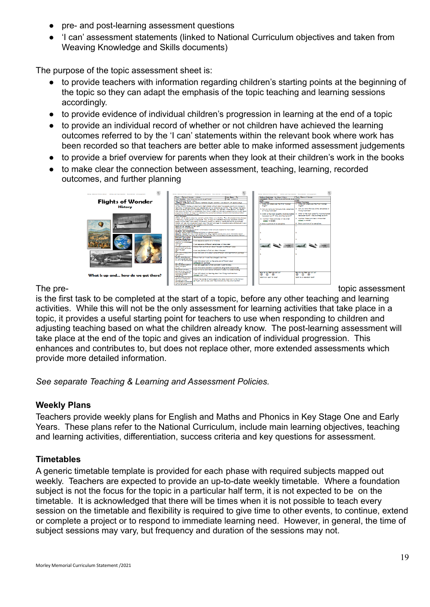- pre- and post-learning assessment questions
- 'I can' assessment statements (linked to National Curriculum objectives and taken from Weaving Knowledge and Skills documents)

The purpose of the topic assessment sheet is:

- to provide teachers with information regarding children's starting points at the beginning of the topic so they can adapt the emphasis of the topic teaching and learning sessions accordingly.
- to provide evidence of individual children's progression in learning at the end of a topic
- to provide an individual record of whether or not children have achieved the learning outcomes referred to by the 'I can' statements within the relevant book where work has been recorded so that teachers are better able to make informed assessment judgements
- to provide a brief overview for parents when they look at their children's work in the books
- to make clear the connection between assessment, teaching, learning, recorded outcomes, and further planning



is the first task to be completed at the start of a topic, before any other teaching and learning activities. While this will not be the only assessment for learning activities that take place in a topic, it provides a useful starting point for teachers to use when responding to children and adjusting teaching based on what the children already know. The post-learning assessment will take place at the end of the topic and gives an indication of individual progression. This enhances and contributes to, but does not replace other, more extended assessments which provide more detailed information.

*See separate Teaching & Learning and Assessment Policies.*

## **Weekly Plans**

Teachers provide weekly plans for English and Maths and Phonics in Key Stage One and Early Years. These plans refer to the National Curriculum, include main learning objectives, teaching and learning activities, differentiation, success criteria and key questions for assessment.

## **Timetables**

A generic timetable template is provided for each phase with required subjects mapped out weekly. Teachers are expected to provide an up-to-date weekly timetable. Where a foundation subject is not the focus for the topic in a particular half term, it is not expected to be on the timetable. It is acknowledged that there will be times when it is not possible to teach every session on the timetable and flexibility is required to give time to other events, to continue, extend or complete a project or to respond to immediate learning need. However, in general, the time of subject sessions may vary, but frequency and duration of the sessions may not.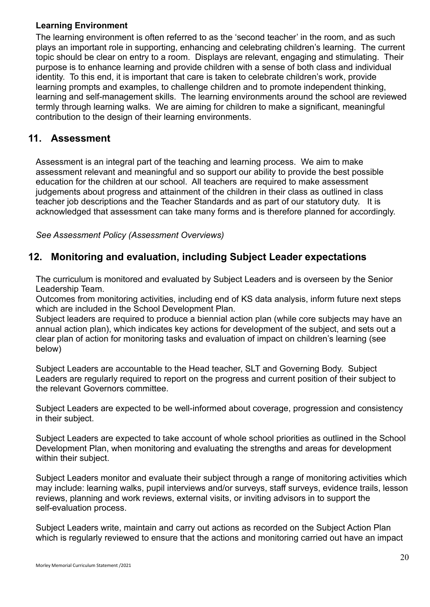## **Learning Environment**

The learning environment is often referred to as the 'second teacher' in the room, and as such plays an important role in supporting, enhancing and celebrating children's learning. The current topic should be clear on entry to a room. Displays are relevant, engaging and stimulating. Their purpose is to enhance learning and provide children with a sense of both class and individual identity. To this end, it is important that care is taken to celebrate children's work, provide learning prompts and examples, to challenge children and to promote independent thinking, learning and self-management skills. The learning environments around the school are reviewed termly through learning walks. We are aiming for children to make a significant, meaningful contribution to the design of their learning environments.

# **11. Assessment**

Assessment is an integral part of the teaching and learning process. We aim to make assessment relevant and meaningful and so support our ability to provide the best possible education for the children at our school. All teachers are required to make assessment judgements about progress and attainment of the children in their class as outlined in class teacher job descriptions and the Teacher Standards and as part of our statutory duty. It is acknowledged that assessment can take many forms and is therefore planned for accordingly.

*See Assessment Policy (Assessment Overviews)*

# **12. Monitoring and evaluation, including Subject Leader expectations**

The curriculum is monitored and evaluated by Subject Leaders and is overseen by the Senior Leadership Team.

Outcomes from monitoring activities, including end of KS data analysis, inform future next steps which are included in the School Development Plan.

Subject leaders are required to produce a biennial action plan (while core subjects may have an annual action plan), which indicates key actions for development of the subject, and sets out a clear plan of action for monitoring tasks and evaluation of impact on children's learning (see below)

Subject Leaders are accountable to the Head teacher, SLT and Governing Body. Subject Leaders are regularly required to report on the progress and current position of their subject to the relevant Governors committee.

Subject Leaders are expected to be well-informed about coverage, progression and consistency in their subject.

Subject Leaders are expected to take account of whole school priorities as outlined in the School Development Plan, when monitoring and evaluating the strengths and areas for development within their subject.

Subject Leaders monitor and evaluate their subject through a range of monitoring activities which may include: learning walks, pupil interviews and/or surveys, staff surveys, evidence trails, lesson reviews, planning and work reviews, external visits, or inviting advisors in to support the self-evaluation process.

Subject Leaders write, maintain and carry out actions as recorded on the Subject Action Plan which is regularly reviewed to ensure that the actions and monitoring carried out have an impact